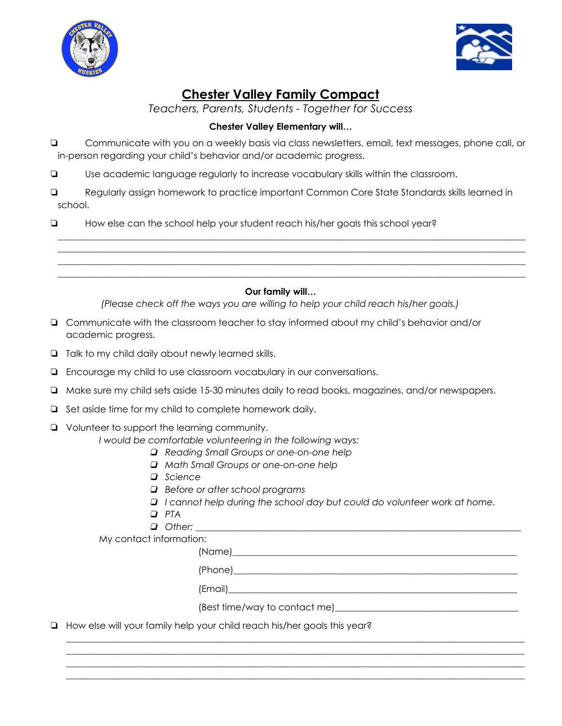



# **Chester Valley Family Compact**

*Teachers, Parents, Students - Together for Success*

### **Chester Valley Elementary will…**

❏ Communicate with you on a weekly basis via class newsletters, email, text messages, phone call, or in-person regarding your child's behavior and/or academic progress.

❏ Use academic language regularly to increase vocabulary skills within the classroom.

❏ Regularly assign homework to practice important Common Core State Standards skills learned in school.

\_\_\_\_\_\_\_\_\_\_\_\_\_\_\_\_\_\_\_\_\_\_\_\_\_\_\_\_\_\_\_\_\_\_\_\_\_\_\_\_\_\_\_\_\_\_\_\_\_\_\_\_\_\_\_\_\_\_\_\_\_\_\_\_\_\_\_\_\_\_\_\_\_\_\_\_\_\_\_\_\_\_\_\_\_\_\_\_\_\_\_\_\_\_\_\_\_\_\_\_\_\_ \_\_\_\_\_\_\_\_\_\_\_\_\_\_\_\_\_\_\_\_\_\_\_\_\_\_\_\_\_\_\_\_\_\_\_\_\_\_\_\_\_\_\_\_\_\_\_\_\_\_\_\_\_\_\_\_\_\_\_\_\_\_\_\_\_\_\_\_\_\_\_\_\_\_\_\_\_\_\_\_\_\_\_\_\_\_\_\_\_\_\_\_\_\_\_\_\_\_\_\_\_\_ \_\_\_\_\_\_\_\_\_\_\_\_\_\_\_\_\_\_\_\_\_\_\_\_\_\_\_\_\_\_\_\_\_\_\_\_\_\_\_\_\_\_\_\_\_\_\_\_\_\_\_\_\_\_\_\_\_\_\_\_\_\_\_\_\_\_\_\_\_\_\_\_\_\_\_\_\_\_\_\_\_\_\_\_\_\_\_\_\_\_\_\_\_\_\_\_\_\_\_\_\_\_ \_\_\_\_\_\_\_\_\_\_\_\_\_\_\_\_\_\_\_\_\_\_\_\_\_\_\_\_\_\_\_\_\_\_\_\_\_\_\_\_\_\_\_\_\_\_\_\_\_\_\_\_\_\_\_\_\_\_\_\_\_\_\_\_\_\_\_\_\_\_\_\_\_\_\_\_\_\_\_\_\_\_\_\_\_\_\_\_\_\_\_\_\_\_\_\_\_\_\_\_\_\_

❏ How else can the school help your student reach his/her goals this school year?

### **Our family will…**

*(Please check off the ways you are willing to help your child reach his/her goals.)*

- ❏ Communicate with the classroom teacher to stay informed about my child's behavior and/or academic progress.
- ❏ Talk to my child daily about newly learned skills.
- ❏ Encourage my child to use classroom vocabulary in our conversations.
- ❏ Make sure my child sets aside 15-30 minutes daily to read books, magazines, and/or newspapers.
- ❏ Set aside time for my child to complete homework daily.
- ❏ Volunteer to support the learning community.

*I would be comfortable volunteering in the following ways:*

- ❏ *Reading Small Groups or one-on-one help*
- ❏ *Math Small Groups or one-on-one help*
- ❏ *Science*
- ❏ *Before or after school programs*
- ❏ *I cannot help during the school day but could do volunteer work at home.*
- ❏ *PTA*
- ❏ *Other: \_\_\_\_\_\_\_\_\_\_\_\_\_\_\_\_\_\_\_\_\_\_\_\_\_\_\_\_\_\_\_\_\_\_\_\_\_\_\_\_\_\_\_\_\_\_\_\_\_\_\_\_\_\_\_\_\_\_\_\_\_\_\_\_\_\_\_\_\_\_\_*

My contact information:

(Name)

 $(Phone)$ 

 $(\text{Email})$ 

(Best time/way to contact me)

\_\_\_\_\_\_\_\_\_\_\_\_\_\_\_\_\_\_\_\_\_\_\_\_\_\_\_\_\_\_\_\_\_\_\_\_\_\_\_\_\_\_\_\_\_\_\_\_\_\_\_\_\_\_\_\_\_\_\_\_\_\_\_\_\_\_\_\_\_\_\_\_\_\_\_\_\_\_\_\_\_\_\_\_\_\_\_\_\_\_\_\_\_\_\_\_\_\_\_\_ \_\_\_\_\_\_\_\_\_\_\_\_\_\_\_\_\_\_\_\_\_\_\_\_\_\_\_\_\_\_\_\_\_\_\_\_\_\_\_\_\_\_\_\_\_\_\_\_\_\_\_\_\_\_\_\_\_\_\_\_\_\_\_\_\_\_\_\_\_\_\_\_\_\_\_\_\_\_\_\_\_\_\_\_\_\_\_\_\_\_\_\_\_\_\_\_\_\_\_\_ \_\_\_\_\_\_\_\_\_\_\_\_\_\_\_\_\_\_\_\_\_\_\_\_\_\_\_\_\_\_\_\_\_\_\_\_\_\_\_\_\_\_\_\_\_\_\_\_\_\_\_\_\_\_\_\_\_\_\_\_\_\_\_\_\_\_\_\_\_\_\_\_\_\_\_\_\_\_\_\_\_\_\_\_\_\_\_\_\_\_\_\_\_\_\_\_\_\_\_\_ \_\_\_\_\_\_\_\_\_\_\_\_\_\_\_\_\_\_\_\_\_\_\_\_\_\_\_\_\_\_\_\_\_\_\_\_\_\_\_\_\_\_\_\_\_\_\_\_\_\_\_\_\_\_\_\_\_\_\_\_\_\_\_\_\_\_\_\_\_\_\_\_\_\_\_\_\_\_\_\_\_\_\_\_\_\_\_\_\_\_\_\_\_\_\_\_\_\_\_\_

❏ How else will your family help your child reach his/her goals this year?